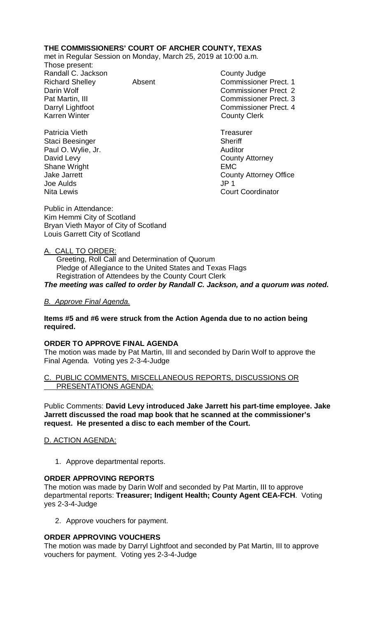# **THE COMMISSIONERS' COURT OF ARCHER COUNTY, TEXAS**

met in Regular Session on Monday, March 25, 2019 at 10:00 a.m.

Those present: Randall C. Jackson County Judge<br>
Richard Shellev Commissioner<br>
Absent Commissioner

Patricia Vieth **Treasurer** Treasurer Staci Beesinger Sheriff Paul O. Wylie, Jr. **Auditor Paul O. Wylie, Jr. Auditor** David Levy **County Attorney** Shane Wright **EMC** Joe Aulds JP 1

Absent Commissioner Prect. 1 Darin Wolf Commissioner Prect 2 Pat Martin, III Commissioner Prect. 3 Darryl Lightfoot **Commissioner Prect. 4**<br>
Karren Winter **County County Clerk County Clerk** 

Jake Jarrett **County Attorney Office Court Coordinator** 

Public in Attendance: Kim Hemmi City of Scotland Bryan Vieth Mayor of City of Scotland Louis Garrett City of Scotland

## A. CALL TO ORDER:

 Greeting, Roll Call and Determination of Quorum Pledge of Allegiance to the United States and Texas Flags Registration of Attendees by the County Court Clerk *The meeting was called to order by Randall C. Jackson, and a quorum was noted.*

### *B. Approve Final Agenda.*

### **Items #5 and #6 were struck from the Action Agenda due to no action being required.**

#### **ORDER TO APPROVE FINAL AGENDA**

The motion was made by Pat Martin, III and seconded by Darin Wolf to approve the Final Agenda. Voting yes 2-3-4-Judge

#### PUBLIC COMMENTS, MISCELLANEOUS REPORTS, DISCUSSIONS OR PRESENTATIONS AGENDA:

Public Comments: **David Levy introduced Jake Jarrett his part-time employee. Jake Jarrett discussed the road map book that he scanned at the commissioner's request. He presented a disc to each member of the Court.**

## D. ACTION AGENDA:

1. Approve departmental reports.

#### **ORDER APPROVING REPORTS**

The motion was made by Darin Wolf and seconded by Pat Martin, III to approve departmental reports: **Treasurer; Indigent Health; County Agent CEA-FCH**. Voting yes 2-3-4-Judge

2. Approve vouchers for payment.

## **ORDER APPROVING VOUCHERS**

The motion was made by Darryl Lightfoot and seconded by Pat Martin, III to approve vouchers for payment. Voting yes 2-3-4-Judge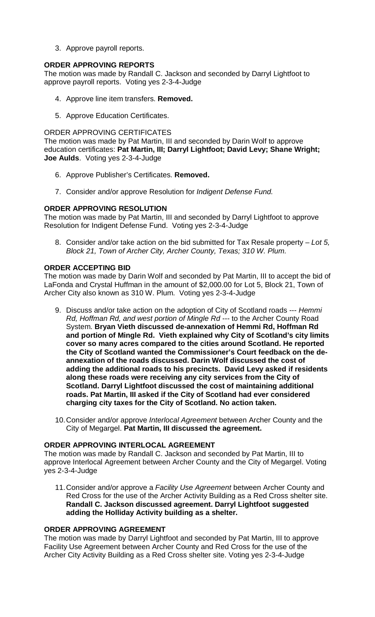3. Approve payroll reports.

## **ORDER APPROVING REPORTS**

The motion was made by Randall C. Jackson and seconded by Darryl Lightfoot to approve payroll reports. Voting yes 2-3-4-Judge

- 4. Approve line item transfers. **Removed.**
- 5. Approve Education Certificates.

### ORDER APPROVING CERTIFICATES

The motion was made by Pat Martin, III and seconded by Darin Wolf to approve education certificates: **Pat Martin, III; Darryl Lightfoot; David Levy; Shane Wright; Joe Aulds**. Voting yes 2-3-4-Judge

- 6. Approve Publisher's Certificates. **Removed.**
- 7. Consider and/or approve Resolution for *Indigent Defense Fund.*

## **ORDER APPROVING RESOLUTION**

The motion was made by Pat Martin, III and seconded by Darryl Lightfoot to approve Resolution for Indigent Defense Fund. Voting yes 2-3-4-Judge

8. Consider and/or take action on the bid submitted for Tax Resale property – *Lot 5, Block 21, Town of Archer City, Archer County, Texas; 310 W. Plum.*

### **ORDER ACCEPTING BID**

The motion was made by Darin Wolf and seconded by Pat Martin, III to accept the bid of LaFonda and Crystal Huffman in the amount of \$2,000.00 for Lot 5, Block 21, Town of Archer City also known as 310 W. Plum. Voting yes 2-3-4-Judge

- 9. Discuss and/or take action on the adoption of City of Scotland roads --- *Hemmi Rd, Hoffman Rd, and west portion of Mingle Rd* --- to the Archer County Road System. **Bryan Vieth discussed de-annexation of Hemmi Rd, Hoffman Rd and portion of Mingle Rd. Vieth explained why City of Scotland's city limits cover so many acres compared to the cities around Scotland. He reported the City of Scotland wanted the Commissioner's Court feedback on the deannexation of the roads discussed. Darin Wolf discussed the cost of adding the additional roads to his precincts. David Levy asked if residents along these roads were receiving any city services from the City of Scotland. Darryl Lightfoot discussed the cost of maintaining additional roads. Pat Martin, III asked if the City of Scotland had ever considered charging city taxes for the City of Scotland. No action taken.**
- 10.Consider and/or approve *Interlocal Agreement* between Archer County and the City of Megargel. **Pat Martin, III discussed the agreement.**

#### **ORDER APPROVING INTERLOCAL AGREEMENT**

The motion was made by Randall C. Jackson and seconded by Pat Martin, III to approve Interlocal Agreement between Archer County and the City of Megargel. Voting yes 2-3-4-Judge

11.Consider and/or approve a *Facility Use Agreement* between Archer County and Red Cross for the use of the Archer Activity Building as a Red Cross shelter site. **Randall C. Jackson discussed agreement. Darryl Lightfoot suggested adding the Holliday Activity building as a shelter.**

### **ORDER APPROVING AGREEMENT**

The motion was made by Darryl Lightfoot and seconded by Pat Martin, III to approve Facility Use Agreement between Archer County and Red Cross for the use of the Archer City Activity Building as a Red Cross shelter site. Voting yes 2-3-4-Judge